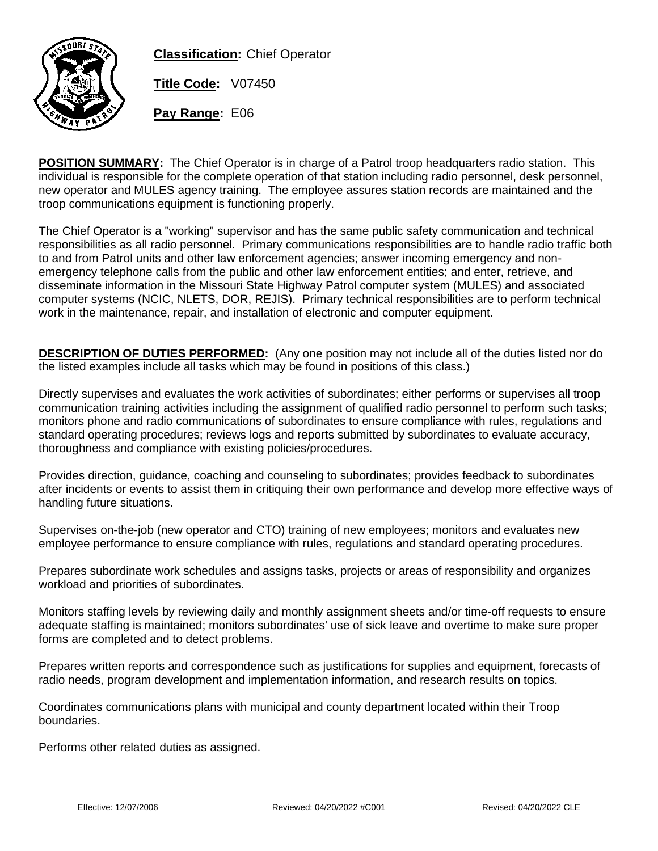

**Classification:** Chief Operator

**Title Code:** V07450

**Pay Range:** E06

**POSITION SUMMARY:** The Chief Operator is in charge of a Patrol troop headquarters radio station. This individual is responsible for the complete operation of that station including radio personnel, desk personnel, new operator and MULES agency training. The employee assures station records are maintained and the troop communications equipment is functioning properly.

The Chief Operator is a "working" supervisor and has the same public safety communication and technical responsibilities as all radio personnel. Primary communications responsibilities are to handle radio traffic both to and from Patrol units and other law enforcement agencies; answer incoming emergency and nonemergency telephone calls from the public and other law enforcement entities; and enter, retrieve, and disseminate information in the Missouri State Highway Patrol computer system (MULES) and associated computer systems (NCIC, NLETS, DOR, REJIS). Primary technical responsibilities are to perform technical work in the maintenance, repair, and installation of electronic and computer equipment.

**DESCRIPTION OF DUTIES PERFORMED:** (Any one position may not include all of the duties listed nor do the listed examples include all tasks which may be found in positions of this class.)

Directly supervises and evaluates the work activities of subordinates; either performs or supervises all troop communication training activities including the assignment of qualified radio personnel to perform such tasks; monitors phone and radio communications of subordinates to ensure compliance with rules, regulations and standard operating procedures; reviews logs and reports submitted by subordinates to evaluate accuracy, thoroughness and compliance with existing policies/procedures.

Provides direction, guidance, coaching and counseling to subordinates; provides feedback to subordinates after incidents or events to assist them in critiquing their own performance and develop more effective ways of handling future situations.

Supervises on-the-job (new operator and CTO) training of new employees; monitors and evaluates new employee performance to ensure compliance with rules, regulations and standard operating procedures.

Prepares subordinate work schedules and assigns tasks, projects or areas of responsibility and organizes workload and priorities of subordinates.

Monitors staffing levels by reviewing daily and monthly assignment sheets and/or time-off requests to ensure adequate staffing is maintained; monitors subordinates' use of sick leave and overtime to make sure proper forms are completed and to detect problems.

Prepares written reports and correspondence such as justifications for supplies and equipment, forecasts of radio needs, program development and implementation information, and research results on topics.

Coordinates communications plans with municipal and county department located within their Troop boundaries.

Performs other related duties as assigned.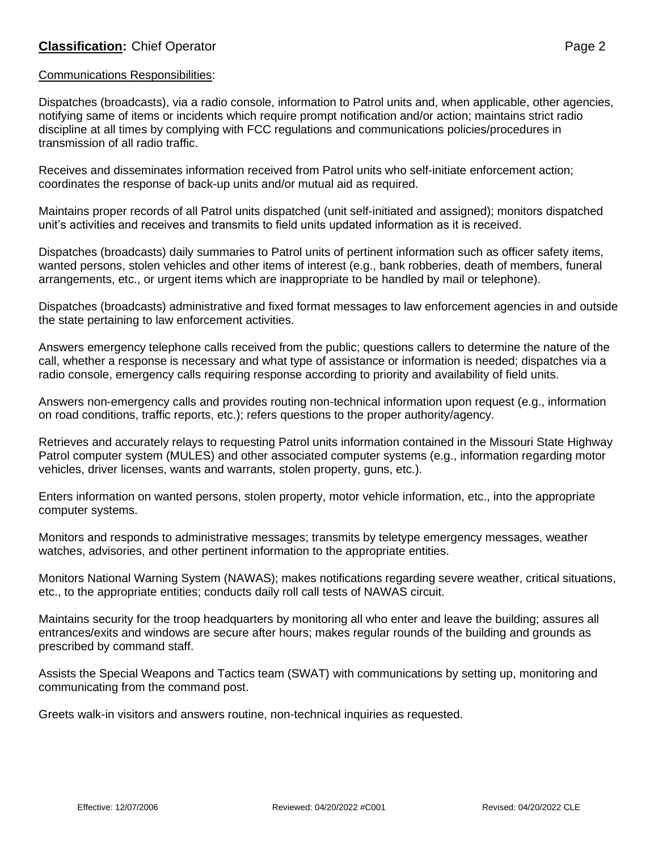Dispatches (broadcasts), via a radio console, information to Patrol units and, when applicable, other agencies, notifying same of items or incidents which require prompt notification and/or action; maintains strict radio discipline at all times by complying with FCC regulations and communications policies/procedures in transmission of all radio traffic.

Receives and disseminates information received from Patrol units who self-initiate enforcement action; coordinates the response of back-up units and/or mutual aid as required.

Maintains proper records of all Patrol units dispatched (unit self-initiated and assigned); monitors dispatched unit's activities and receives and transmits to field units updated information as it is received.

Dispatches (broadcasts) daily summaries to Patrol units of pertinent information such as officer safety items, wanted persons, stolen vehicles and other items of interest (e.g., bank robberies, death of members, funeral arrangements, etc., or urgent items which are inappropriate to be handled by mail or telephone).

Dispatches (broadcasts) administrative and fixed format messages to law enforcement agencies in and outside the state pertaining to law enforcement activities.

Answers emergency telephone calls received from the public; questions callers to determine the nature of the call, whether a response is necessary and what type of assistance or information is needed; dispatches via a radio console, emergency calls requiring response according to priority and availability of field units.

Answers non-emergency calls and provides routing non-technical information upon request (e.g., information on road conditions, traffic reports, etc.); refers questions to the proper authority/agency.

Retrieves and accurately relays to requesting Patrol units information contained in the Missouri State Highway Patrol computer system (MULES) and other associated computer systems (e.g., information regarding motor vehicles, driver licenses, wants and warrants, stolen property, guns, etc.).

Enters information on wanted persons, stolen property, motor vehicle information, etc., into the appropriate computer systems.

Monitors and responds to administrative messages; transmits by teletype emergency messages, weather watches, advisories, and other pertinent information to the appropriate entities.

Monitors National Warning System (NAWAS); makes notifications regarding severe weather, critical situations, etc., to the appropriate entities; conducts daily roll call tests of NAWAS circuit.

Maintains security for the troop headquarters by monitoring all who enter and leave the building; assures all entrances/exits and windows are secure after hours; makes regular rounds of the building and grounds as prescribed by command staff.

Assists the Special Weapons and Tactics team (SWAT) with communications by setting up, monitoring and communicating from the command post.

Greets walk-in visitors and answers routine, non-technical inquiries as requested.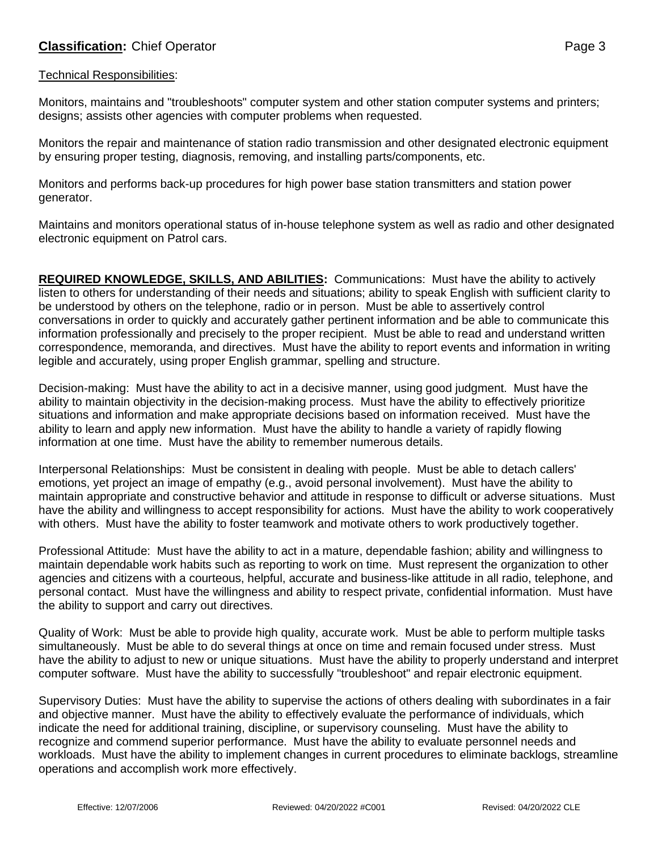## **Classification:** Chief Operator **Page 3**

## Technical Responsibilities:

Monitors, maintains and "troubleshoots" computer system and other station computer systems and printers; designs; assists other agencies with computer problems when requested.

Monitors the repair and maintenance of station radio transmission and other designated electronic equipment by ensuring proper testing, diagnosis, removing, and installing parts/components, etc.

Monitors and performs back-up procedures for high power base station transmitters and station power generator.

Maintains and monitors operational status of in-house telephone system as well as radio and other designated electronic equipment on Patrol cars.

**REQUIRED KNOWLEDGE, SKILLS, AND ABILITIES:** Communications: Must have the ability to actively listen to others for understanding of their needs and situations; ability to speak English with sufficient clarity to be understood by others on the telephone, radio or in person. Must be able to assertively control conversations in order to quickly and accurately gather pertinent information and be able to communicate this information professionally and precisely to the proper recipient. Must be able to read and understand written correspondence, memoranda, and directives. Must have the ability to report events and information in writing legible and accurately, using proper English grammar, spelling and structure.

Decision-making: Must have the ability to act in a decisive manner, using good judgment. Must have the ability to maintain objectivity in the decision-making process. Must have the ability to effectively prioritize situations and information and make appropriate decisions based on information received. Must have the ability to learn and apply new information. Must have the ability to handle a variety of rapidly flowing information at one time. Must have the ability to remember numerous details.

Interpersonal Relationships: Must be consistent in dealing with people. Must be able to detach callers' emotions, yet project an image of empathy (e.g., avoid personal involvement). Must have the ability to maintain appropriate and constructive behavior and attitude in response to difficult or adverse situations. Must have the ability and willingness to accept responsibility for actions. Must have the ability to work cooperatively with others. Must have the ability to foster teamwork and motivate others to work productively together.

Professional Attitude: Must have the ability to act in a mature, dependable fashion; ability and willingness to maintain dependable work habits such as reporting to work on time. Must represent the organization to other agencies and citizens with a courteous, helpful, accurate and business-like attitude in all radio, telephone, and personal contact. Must have the willingness and ability to respect private, confidential information. Must have the ability to support and carry out directives.

Quality of Work: Must be able to provide high quality, accurate work. Must be able to perform multiple tasks simultaneously. Must be able to do several things at once on time and remain focused under stress. Must have the ability to adjust to new or unique situations. Must have the ability to properly understand and interpret computer software. Must have the ability to successfully "troubleshoot" and repair electronic equipment.

Supervisory Duties: Must have the ability to supervise the actions of others dealing with subordinates in a fair and objective manner. Must have the ability to effectively evaluate the performance of individuals, which indicate the need for additional training, discipline, or supervisory counseling. Must have the ability to recognize and commend superior performance. Must have the ability to evaluate personnel needs and workloads. Must have the ability to implement changes in current procedures to eliminate backlogs, streamline operations and accomplish work more effectively.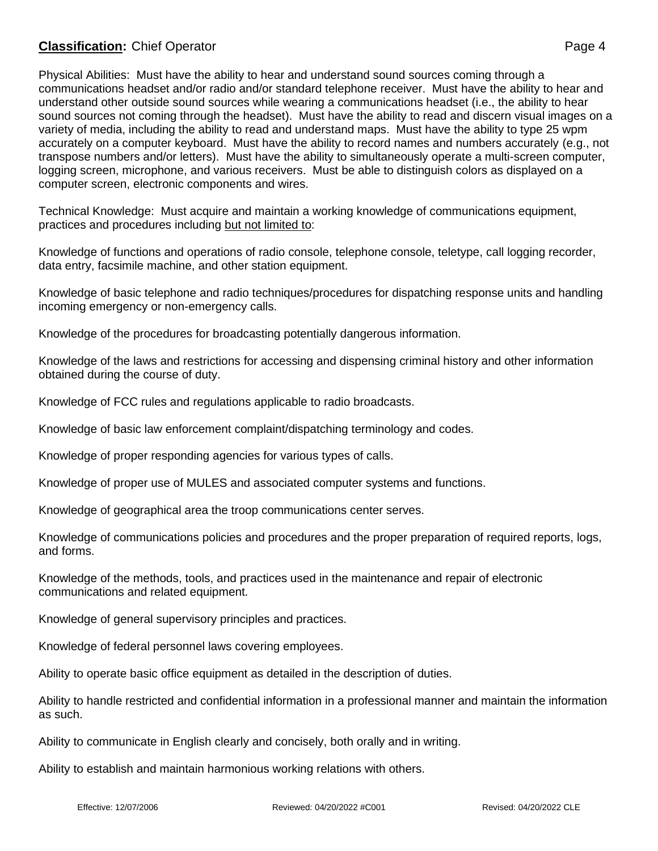## **Classification:** Chief Operator **Page 4**

Physical Abilities: Must have the ability to hear and understand sound sources coming through a communications headset and/or radio and/or standard telephone receiver. Must have the ability to hear and understand other outside sound sources while wearing a communications headset (i.e., the ability to hear sound sources not coming through the headset). Must have the ability to read and discern visual images on a variety of media, including the ability to read and understand maps. Must have the ability to type 25 wpm accurately on a computer keyboard. Must have the ability to record names and numbers accurately (e.g., not transpose numbers and/or letters). Must have the ability to simultaneously operate a multi-screen computer, logging screen, microphone, and various receivers. Must be able to distinguish colors as displayed on a computer screen, electronic components and wires.

Technical Knowledge: Must acquire and maintain a working knowledge of communications equipment, practices and procedures including but not limited to:

Knowledge of functions and operations of radio console, telephone console, teletype, call logging recorder, data entry, facsimile machine, and other station equipment.

Knowledge of basic telephone and radio techniques/procedures for dispatching response units and handling incoming emergency or non-emergency calls.

Knowledge of the procedures for broadcasting potentially dangerous information.

Knowledge of the laws and restrictions for accessing and dispensing criminal history and other information obtained during the course of duty.

Knowledge of FCC rules and regulations applicable to radio broadcasts.

Knowledge of basic law enforcement complaint/dispatching terminology and codes.

Knowledge of proper responding agencies for various types of calls.

Knowledge of proper use of MULES and associated computer systems and functions.

Knowledge of geographical area the troop communications center serves.

Knowledge of communications policies and procedures and the proper preparation of required reports, logs, and forms.

Knowledge of the methods, tools, and practices used in the maintenance and repair of electronic communications and related equipment.

Knowledge of general supervisory principles and practices.

Knowledge of federal personnel laws covering employees.

Ability to operate basic office equipment as detailed in the description of duties.

Ability to handle restricted and confidential information in a professional manner and maintain the information as such.

Ability to communicate in English clearly and concisely, both orally and in writing.

Ability to establish and maintain harmonious working relations with others.